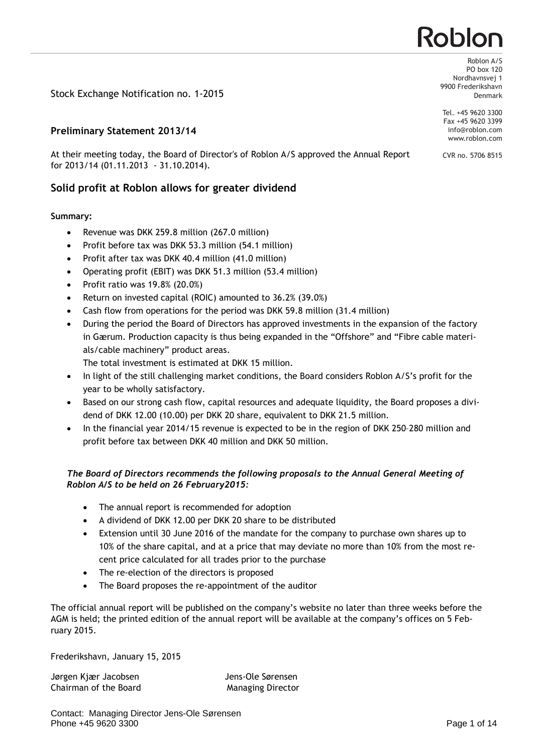# Roblor

Stock Exchange Notification no. 1-2015

# **Preliminary Statement 2013/14**

At their meeting today, the Board of Director's of Roblon A/S approved the Annual Report for 2013/14 (01.11.2013 - 31.10.2014).

# **Solid profit at Roblon allows for greater dividend**

# **Summary:**

- · Revenue was DKK 259.8 million (267.0 million)
- · Profit before tax was DKK 53.3 million (54.1 million)
- Profit after tax was DKK 40.4 million (41.0 million)
- · Operating profit (EBIT) was DKK 51.3 million (53.4 million)
- Profit ratio was  $19.8\%$  (20.0%)
- · Return on invested capital (ROIC) amounted to 36.2% (39.0%)
- Cash flow from operations for the period was DKK 59.8 million (31.4 million)
- During the period the Board of Directors has approved investments in the expansion of the factory in Gærum. Production capacity is thus being expanded in the "Offshore" and "Fibre cable materials/cable machinery" product areas.
	- The total investment is estimated at DKK 15 million.
- · In light of the still challenging market conditions, the Board considers Roblon A/S's profit for the year to be wholly satisfactory.
- · Based on our strong cash flow, capital resources and adequate liquidity, the Board proposes a dividend of DKK 12.00 (10.00) per DKK 20 share, equivalent to DKK 21.5 million.
- · In the financial year 2014/15 revenue is expected to be in the region of DKK 250–280 million and profit before tax between DKK 40 million and DKK 50 million.

# *The Board of Directors recommends the following proposals to the Annual General Meeting of Roblon A/S to be held on 26 February2015:*

- The annual report is recommended for adoption
- · A dividend of DKK 12.00 per DKK 20 share to be distributed
- · Extension until 30 June 2016 of the mandate for the company to purchase own shares up to 10% of the share capital, and at a price that may deviate no more than 10% from the most recent price calculated for all trades prior to the purchase
- The re-election of the directors is proposed
- The Board proposes the re-appointment of the auditor

The official annual report will be published on the company's website no later than three weeks before the AGM is held; the printed edition of the annual report will be available at the company's offices on 5 February 2015.

Frederikshavn, January 15, 2015

Jørgen Kjær Jacobsen Martin Sole Sørensen Chairman of the Board Managing Director

PO box 120 Nordhavnsvej 1 9900 Frederikshavn Denmark

Roblon A/S

Tel. +45 9620 3300 Fax +45 9620 3399 info@roblon.com www.roblon.com

CVR no. 5706 8515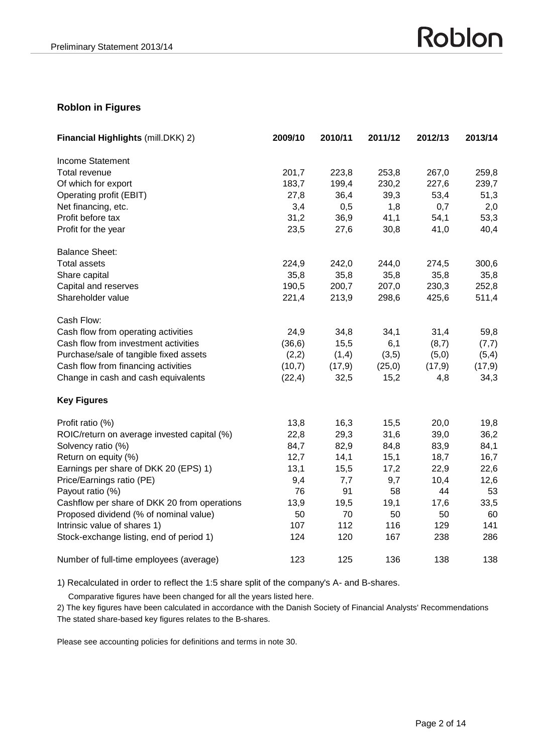# **Roblon in Figures**

| Financial Highlights (mill.DKK) 2)           | 2009/10 | 2010/11 | 2011/12 | 2012/13 | 2013/14 |
|----------------------------------------------|---------|---------|---------|---------|---------|
| Income Statement                             |         |         |         |         |         |
| Total revenue                                | 201,7   | 223,8   | 253,8   | 267,0   | 259,8   |
| Of which for export                          | 183,7   | 199,4   | 230,2   | 227,6   | 239,7   |
| Operating profit (EBIT)                      | 27,8    | 36,4    | 39,3    | 53,4    | 51,3    |
| Net financing, etc.                          | 3,4     | 0,5     | 1,8     | 0,7     | 2,0     |
| Profit before tax                            | 31,2    | 36,9    | 41,1    | 54,1    | 53,3    |
| Profit for the year                          | 23,5    | 27,6    | 30,8    | 41,0    | 40,4    |
| <b>Balance Sheet:</b>                        |         |         |         |         |         |
| <b>Total assets</b>                          | 224,9   | 242,0   | 244,0   | 274,5   | 300,6   |
| Share capital                                | 35,8    | 35,8    | 35,8    | 35,8    | 35,8    |
| Capital and reserves                         | 190,5   | 200,7   | 207,0   | 230,3   | 252,8   |
| Shareholder value                            | 221,4   | 213,9   | 298,6   | 425,6   | 511,4   |
| Cash Flow:                                   |         |         |         |         |         |
| Cash flow from operating activities          | 24,9    | 34,8    | 34,1    | 31,4    | 59,8    |
| Cash flow from investment activities         | (36, 6) | 15,5    | 6,1     | (8,7)   | (7,7)   |
| Purchase/sale of tangible fixed assets       | (2,2)   | (1,4)   | (3,5)   | (5,0)   | (5,4)   |
| Cash flow from financing activities          | (10,7)  | (17, 9) | (25,0)  | (17, 9) | (17, 9) |
| Change in cash and cash equivalents          | (22, 4) | 32,5    | 15,2    | 4,8     | 34,3    |
| <b>Key Figures</b>                           |         |         |         |         |         |
| Profit ratio (%)                             | 13,8    | 16,3    | 15,5    | 20,0    | 19,8    |
| ROIC/return on average invested capital (%)  | 22,8    | 29,3    | 31,6    | 39,0    | 36,2    |
| Solvency ratio (%)                           | 84,7    | 82,9    | 84,8    | 83,9    | 84,1    |
| Return on equity (%)                         | 12,7    | 14,1    | 15,1    | 18,7    | 16,7    |
| Earnings per share of DKK 20 (EPS) 1)        | 13,1    | 15,5    | 17,2    | 22,9    | 22,6    |
| Price/Earnings ratio (PE)                    | 9,4     | 7,7     | 9,7     | 10,4    | 12,6    |
| Payout ratio (%)                             | 76      | 91      | 58      | 44      | 53      |
| Cashflow per share of DKK 20 from operations | 13,9    | 19,5    | 19,1    | 17,6    | 33,5    |
| Proposed dividend (% of nominal value)       | 50      | 70      | 50      | 50      | 60      |
| Intrinsic value of shares 1)                 | 107     | 112     | 116     | 129     | 141     |
| Stock-exchange listing, end of period 1)     | 124     | 120     | 167     | 238     | 286     |
| Number of full-time employees (average)      | 123     | 125     | 136     | 138     | 138     |

1) Recalculated in order to reflect the 1:5 share split of the company's A- and B-shares.

Comparative figures have been changed for all the years listed here.

2) The key figures have been calculated in accordance with the Danish Society of Financial Analysts' Recommendations The stated share-based key figures relates to the B-shares.

Please see accounting policies for definitions and terms in note 30.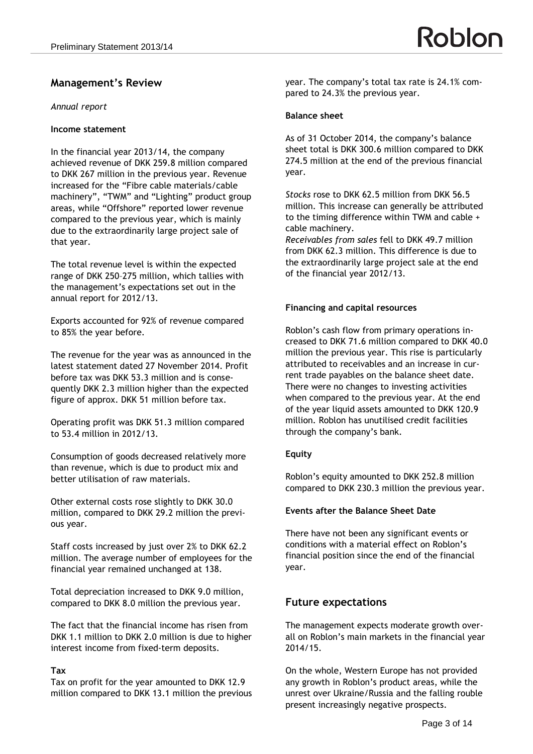# **Management's Review**

#### *Annual report*

# **Income statement**

In the financial year 2013/14, the company achieved revenue of DKK 259.8 million compared to DKK 267 million in the previous year. Revenue increased for the "Fibre cable materials/cable machinery", "TWM" and "Lighting" product group areas, while "Offshore" reported lower revenue compared to the previous year, which is mainly due to the extraordinarily large project sale of that year.

The total revenue level is within the expected range of DKK 250–275 million, which tallies with the management's expectations set out in the annual report for 2012/13.

Exports accounted for 92% of revenue compared to 85% the year before.

The revenue for the year was as announced in the latest statement dated 27 November 2014. Profit before tax was DKK 53.3 million and is consequently DKK 2.3 million higher than the expected figure of approx. DKK 51 million before tax.

Operating profit was DKK 51.3 million compared to 53.4 million in 2012/13.

Consumption of goods decreased relatively more than revenue, which is due to product mix and better utilisation of raw materials.

Other external costs rose slightly to DKK 30.0 million, compared to DKK 29.2 million the previous year.

Staff costs increased by just over 2% to DKK 62.2 million. The average number of employees for the financial year remained unchanged at 138.

Total depreciation increased to DKK 9.0 million, compared to DKK 8.0 million the previous year.

The fact that the financial income has risen from DKK 1.1 million to DKK 2.0 million is due to higher interest income from fixed-term deposits.

#### **Tax**

Tax on profit for the year amounted to DKK 12.9 million compared to DKK 13.1 million the previous year. The company's total tax rate is 24.1% compared to 24.3% the previous year.

# **Balance sheet**

As of 31 October 2014, the company's balance sheet total is DKK 300.6 million compared to DKK 274.5 million at the end of the previous financial year.

*Stocks* rose to DKK 62.5 million from DKK 56.5 million. This increase can generally be attributed to the timing difference within TWM and cable + cable machinery.

*Receivables from sales* fell to DKK 49.7 million from DKK 62.3 million. This difference is due to the extraordinarily large project sale at the end of the financial year 2012/13.

# **Financing and capital resources**

Roblon's cash flow from primary operations increased to DKK 71.6 million compared to DKK 40.0 million the previous year. This rise is particularly attributed to receivables and an increase in current trade payables on the balance sheet date. There were no changes to investing activities when compared to the previous year. At the end of the year liquid assets amounted to DKK 120.9 million. Roblon has unutilised credit facilities through the company's bank.

# **Equity**

Roblon's equity amounted to DKK 252.8 million compared to DKK 230.3 million the previous year.

#### **Events after the Balance Sheet Date**

There have not been any significant events or conditions with a material effect on Roblon's financial position since the end of the financial year.

# **Future expectations**

The management expects moderate growth overall on Roblon's main markets in the financial year 2014/15.

On the whole, Western Europe has not provided any growth in Roblon's product areas, while the unrest over Ukraine/Russia and the falling rouble present increasingly negative prospects.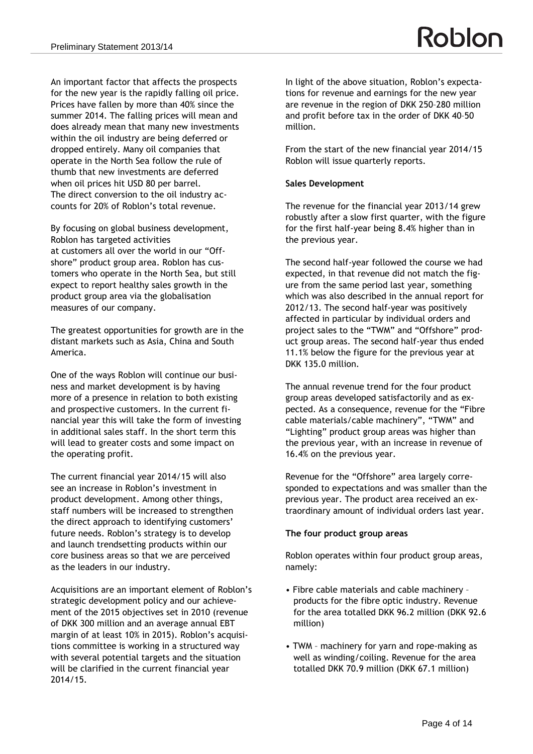An important factor that affects the prospects for the new year is the rapidly falling oil price. Prices have fallen by more than 40% since the summer 2014. The falling prices will mean and does already mean that many new investments within the oil industry are being deferred or dropped entirely. Many oil companies that operate in the North Sea follow the rule of thumb that new investments are deferred when oil prices hit USD 80 per barrel. The direct conversion to the oil industry accounts for 20% of Roblon's total revenue.

By focusing on global business development, Roblon has targeted activities at customers all over the world in our "Offshore" product group area. Roblon has customers who operate in the North Sea, but still expect to report healthy sales growth in the product group area via the globalisation measures of our company.

The greatest opportunities for growth are in the distant markets such as Asia, China and South America.

One of the ways Roblon will continue our business and market development is by having more of a presence in relation to both existing and prospective customers. In the current financial year this will take the form of investing in additional sales staff. In the short term this will lead to greater costs and some impact on the operating profit.

The current financial year 2014/15 will also see an increase in Roblon's investment in product development. Among other things, staff numbers will be increased to strengthen the direct approach to identifying customers' future needs. Roblon's strategy is to develop and launch trendsetting products within our core business areas so that we are perceived as the leaders in our industry.

Acquisitions are an important element of Roblon's strategic development policy and our achievement of the 2015 objectives set in 2010 (revenue of DKK 300 million and an average annual EBT margin of at least 10% in 2015). Roblon's acquisitions committee is working in a structured way with several potential targets and the situation will be clarified in the current financial year 2014/15.

In light of the above situation, Roblon's expectations for revenue and earnings for the new year are revenue in the region of DKK 250–280 million and profit before tax in the order of DKK 40–50 million.

From the start of the new financial year 2014/15 Roblon will issue quarterly reports.

#### **Sales Development**

The revenue for the financial year 2013/14 grew robustly after a slow first quarter, with the figure for the first half-year being 8.4% higher than in the previous year.

The second half-year followed the course we had expected, in that revenue did not match the figure from the same period last year, something which was also described in the annual report for 2012/13. The second half-year was positively affected in particular by individual orders and project sales to the "TWM" and "Offshore" product group areas. The second half-year thus ended 11.1% below the figure for the previous year at DKK 135.0 million.

The annual revenue trend for the four product group areas developed satisfactorily and as expected. As a consequence, revenue for the "Fibre cable materials/cable machinery", "TWM" and "Lighting" product group areas was higher than the previous year, with an increase in revenue of 16.4% on the previous year.

Revenue for the "Offshore" area largely corresponded to expectations and was smaller than the previous year. The product area received an extraordinary amount of individual orders last year.

#### **The four product group areas**

Roblon operates within four product group areas, namely:

- Fibre cable materials and cable machinery products for the fibre optic industry. Revenue for the area totalled DKK 96.2 million (DKK 92.6 million)
- TWM machinery for yarn and rope-making as well as winding/coiling. Revenue for the area totalled DKK 70.9 million (DKK 67.1 million)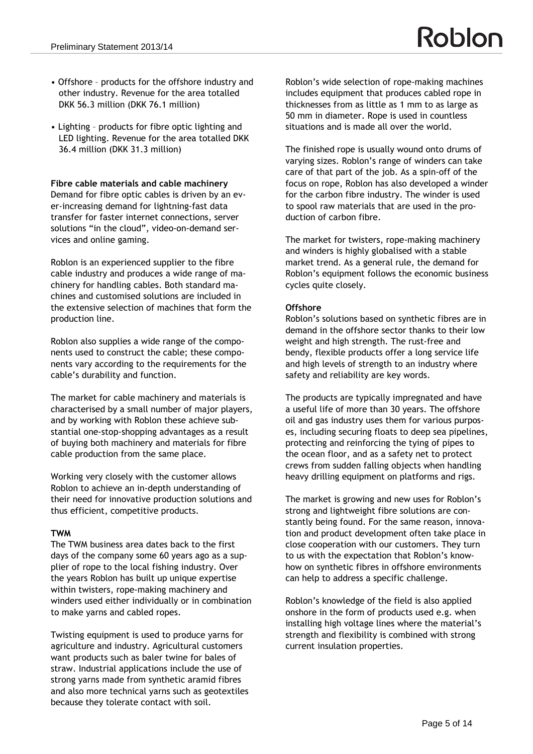- Offshore products for the offshore industry and other industry. Revenue for the area totalled DKK 56.3 million (DKK 76.1 million)
- Lighting products for fibre optic lighting and LED lighting. Revenue for the area totalled DKK 36.4 million (DKK 31.3 million)

#### **Fibre cable materials and cable machinery**

Demand for fibre optic cables is driven by an ever-increasing demand for lightning-fast data transfer for faster internet connections, server solutions "in the cloud", video-on-demand services and online gaming.

Roblon is an experienced supplier to the fibre cable industry and produces a wide range of machinery for handling cables. Both standard machines and customised solutions are included in the extensive selection of machines that form the production line.

Roblon also supplies a wide range of the components used to construct the cable; these components vary according to the requirements for the cable's durability and function.

The market for cable machinery and materials is characterised by a small number of major players, and by working with Roblon these achieve substantial one-stop-shopping advantages as a result of buying both machinery and materials for fibre cable production from the same place.

Working very closely with the customer allows Roblon to achieve an in-depth understanding of their need for innovative production solutions and thus efficient, competitive products.

#### **TWM**

The TWM business area dates back to the first days of the company some 60 years ago as a supplier of rope to the local fishing industry. Over the years Roblon has built up unique expertise within twisters, rope-making machinery and winders used either individually or in combination to make yarns and cabled ropes.

Twisting equipment is used to produce yarns for agriculture and industry. Agricultural customers want products such as baler twine for bales of straw. Industrial applications include the use of strong yarns made from synthetic aramid fibres and also more technical yarns such as geotextiles because they tolerate contact with soil.

Roblon's wide selection of rope-making machines includes equipment that produces cabled rope in thicknesses from as little as 1 mm to as large as 50 mm in diameter. Rope is used in countless situations and is made all over the world.

The finished rope is usually wound onto drums of varying sizes. Roblon's range of winders can take care of that part of the job. As a spin-off of the focus on rope, Roblon has also developed a winder for the carbon fibre industry. The winder is used to spool raw materials that are used in the production of carbon fibre.

The market for twisters, rope-making machinery and winders is highly globalised with a stable market trend. As a general rule, the demand for Roblon's equipment follows the economic business cycles quite closely.

# **Offshore**

Roblon's solutions based on synthetic fibres are in demand in the offshore sector thanks to their low weight and high strength. The rust-free and bendy, flexible products offer a long service life and high levels of strength to an industry where safety and reliability are key words.

The products are typically impregnated and have a useful life of more than 30 years. The offshore oil and gas industry uses them for various purposes, including securing floats to deep sea pipelines, protecting and reinforcing the tying of pipes to the ocean floor, and as a safety net to protect crews from sudden falling objects when handling heavy drilling equipment on platforms and rigs.

The market is growing and new uses for Roblon's strong and lightweight fibre solutions are constantly being found. For the same reason, innovation and product development often take place in close cooperation with our customers. They turn to us with the expectation that Roblon's knowhow on synthetic fibres in offshore environments can help to address a specific challenge.

Roblon's knowledge of the field is also applied onshore in the form of products used e.g. when installing high voltage lines where the material's strength and flexibility is combined with strong current insulation properties.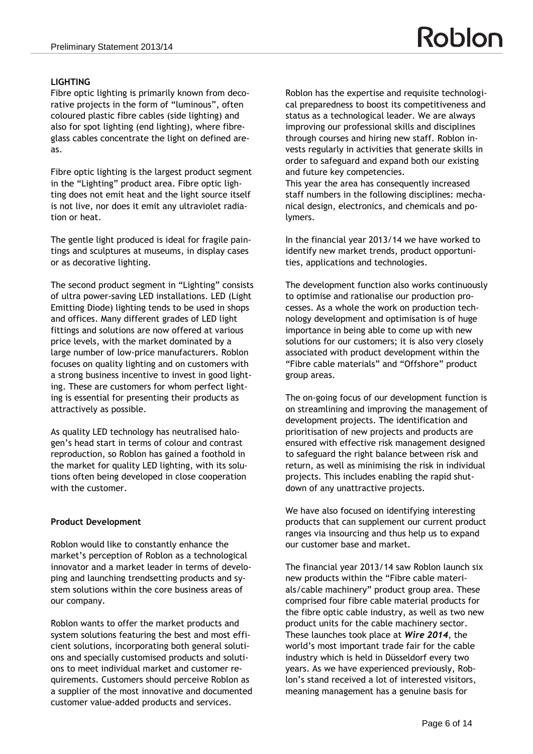Fibre optic lighting is primarily known from decorative projects in the form of "luminous", often coloured plastic fibre cables (side lighting) and also for spot lighting (end lighting), where fibreglass cables concentrate the light on defined areas.

Fibre optic lighting is the largest product segment in the "Lighting" product area. Fibre optic lighting does not emit heat and the light source itself is not live, nor does it emit any ultraviolet radiation or heat.

The gentle light produced is ideal for fragile paintings and sculptures at museums, in display cases or as decorative lighting.

The second product segment in "Lighting" consists of ultra power-saving LED installations. LED (Light Emitting Diode) lighting tends to be used in shops and offices. Many different grades of LED light fittings and solutions are now offered at various price levels, with the market dominated by a large number of low-price manufacturers. Roblon focuses on quality lighting and on customers with a strong business incentive to invest in good lighting. These are customers for whom perfect lighting is essential for presenting their products as attractively as possible.

As quality LED technology has neutralised halogen's head start in terms of colour and contrast reproduction, so Roblon has gained a foothold in the market for quality LED lighting, with its solutions often being developed in close cooperation with the customer.

#### **Product Development**

Roblon would like to constantly enhance the market's perception of Roblon as a technological innovator and a market leader in terms of developing and launching trendsetting products and system solutions within the core business areas of our company.

Roblon wants to offer the market products and system solutions featuring the best and most efficient solutions, incorporating both general solutions and specially customised products and solutions to meet individual market and customer requirements. Customers should perceive Roblon as a supplier of the most innovative and documented customer value-added products and services.

Roblon has the expertise and requisite technological preparedness to boost its competitiveness and status as a technological leader. We are always improving our professional skills and disciplines through courses and hiring new staff. Roblon invests regularly in activities that generate skills in order to safeguard and expand both our existing

Roblon

and future key competencies. This year the area has consequently increased staff numbers in the following disciplines: mechanical design, electronics, and chemicals and polymers.

In the financial year 2013/14 we have worked to identify new market trends, product opportunities, applications and technologies.

The development function also works continuously to optimise and rationalise our production processes. As a whole the work on production technology development and optimisation is of huge importance in being able to come up with new solutions for our customers; it is also very closely associated with product development within the "Fibre cable materials" and "Offshore" product group areas.

The on-going focus of our development function is on streamlining and improving the management of development projects. The identification and prioritisation of new projects and products are ensured with effective risk management designed to safeguard the right balance between risk and return, as well as minimising the risk in individual projects. This includes enabling the rapid shutdown of any unattractive projects.

We have also focused on identifying interesting products that can supplement our current product ranges via insourcing and thus help us to expand our customer base and market.

The financial year 2013/14 saw Roblon launch six new products within the "Fibre cable materials/cable machinery" product group area. These comprised four fibre cable material products for the fibre optic cable industry, as well as two new product units for the cable machinery sector. These launches took place at *Wire 2014*, the world's most important trade fair for the cable industry which is held in Düsseldorf every two years. As we have experienced previously, Roblon's stand received a lot of interested visitors, meaning management has a genuine basis for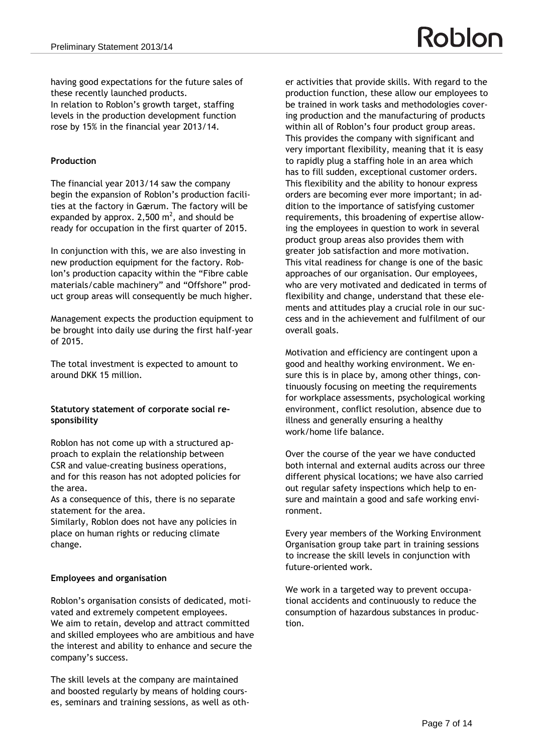having good expectations for the future sales of these recently launched products. In relation to Roblon's growth target, staffing levels in the production development function rose by 15% in the financial year 2013/14.

# **Production**

The financial year 2013/14 saw the company begin the expansion of Roblon's production facilities at the factory in Gærum. The factory will be expanded by approx. 2,500  $m^2$ , and should be ready for occupation in the first quarter of 2015.

In conjunction with this, we are also investing in new production equipment for the factory. Roblon's production capacity within the "Fibre cable materials/cable machinery" and "Offshore" product group areas will consequently be much higher.

Management expects the production equipment to be brought into daily use during the first half-year of 2015.

The total investment is expected to amount to around DKK 15 million.

#### **Statutory statement of corporate social responsibility**

Roblon has not come up with a structured approach to explain the relationship between CSR and value-creating business operations, and for this reason has not adopted policies for the area.

As a consequence of this, there is no separate statement for the area.

Similarly, Roblon does not have any policies in place on human rights or reducing climate change.

#### **Employees and organisation**

Roblon's organisation consists of dedicated, motivated and extremely competent employees. We aim to retain, develop and attract committed and skilled employees who are ambitious and have the interest and ability to enhance and secure the company's success.

The skill levels at the company are maintained and boosted regularly by means of holding courses, seminars and training sessions, as well as oth-

er activities that provide skills. With regard to the production function, these allow our employees to be trained in work tasks and methodologies covering production and the manufacturing of products within all of Roblon's four product group areas. This provides the company with significant and very important flexibility, meaning that it is easy to rapidly plug a staffing hole in an area which has to fill sudden, exceptional customer orders. This flexibility and the ability to honour express orders are becoming ever more important; in addition to the importance of satisfying customer requirements, this broadening of expertise allowing the employees in question to work in several product group areas also provides them with greater job satisfaction and more motivation. This vital readiness for change is one of the basic approaches of our organisation. Our employees, who are very motivated and dedicated in terms of flexibility and change, understand that these elements and attitudes play a crucial role in our success and in the achievement and fulfilment of our overall goals.

Motivation and efficiency are contingent upon a good and healthy working environment. We ensure this is in place by, among other things, continuously focusing on meeting the requirements for workplace assessments, psychological working environment, conflict resolution, absence due to illness and generally ensuring a healthy work/home life balance.

Over the course of the year we have conducted both internal and external audits across our three different physical locations; we have also carried out regular safety inspections which help to ensure and maintain a good and safe working environment.

Every year members of the Working Environment Organisation group take part in training sessions to increase the skill levels in conjunction with future-oriented work.

We work in a targeted way to prevent occupational accidents and continuously to reduce the consumption of hazardous substances in production.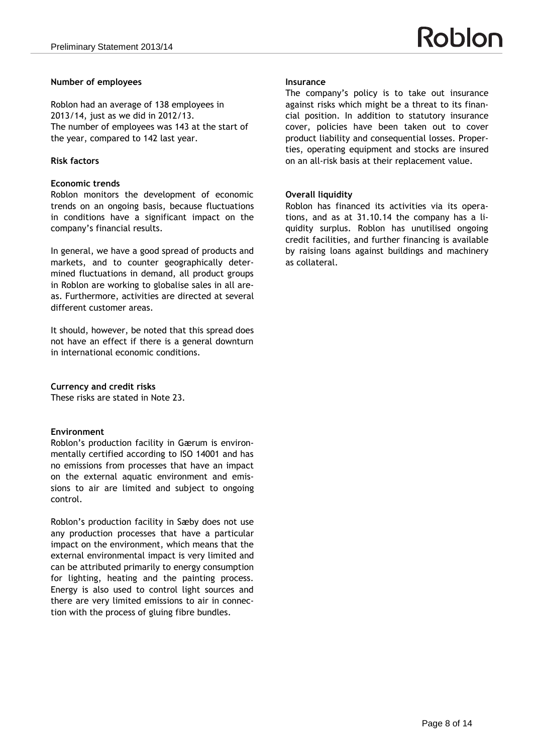#### **Number of employees**

Roblon had an average of 138 employees in 2013/14, just as we did in 2012/13. The number of employees was 143 at the start of the year, compared to 142 last year.

#### **Risk factors**

#### **Economic trends**

Roblon monitors the development of economic trends on an ongoing basis, because fluctuations in conditions have a significant impact on the company's financial results.

In general, we have a good spread of products and markets, and to counter geographically determined fluctuations in demand, all product groups in Roblon are working to globalise sales in all areas. Furthermore, activities are directed at several different customer areas.

It should, however, be noted that this spread does not have an effect if there is a general downturn in international economic conditions.

#### **Currency and credit risks**

These risks are stated in Note 23.

#### **Environment**

Roblon's production facility in Gærum is environmentally certified according to ISO 14001 and has no emissions from processes that have an impact on the external aquatic environment and emissions to air are limited and subject to ongoing control.

Roblon's production facility in Sæby does not use any production processes that have a particular impact on the environment, which means that the external environmental impact is very limited and can be attributed primarily to energy consumption for lighting, heating and the painting process. Energy is also used to control light sources and there are very limited emissions to air in connection with the process of gluing fibre bundles.

#### **Insurance**

The company's policy is to take out insurance against risks which might be a threat to its financial position. In addition to statutory insurance cover, policies have been taken out to cover product liability and consequential losses. Properties, operating equipment and stocks are insured on an all-risk basis at their replacement value.

#### **Overall liquidity**

Roblon has financed its activities via its operations, and as at 31.10.14 the company has a liquidity surplus. Roblon has unutilised ongoing credit facilities, and further financing is available by raising loans against buildings and machinery as collateral.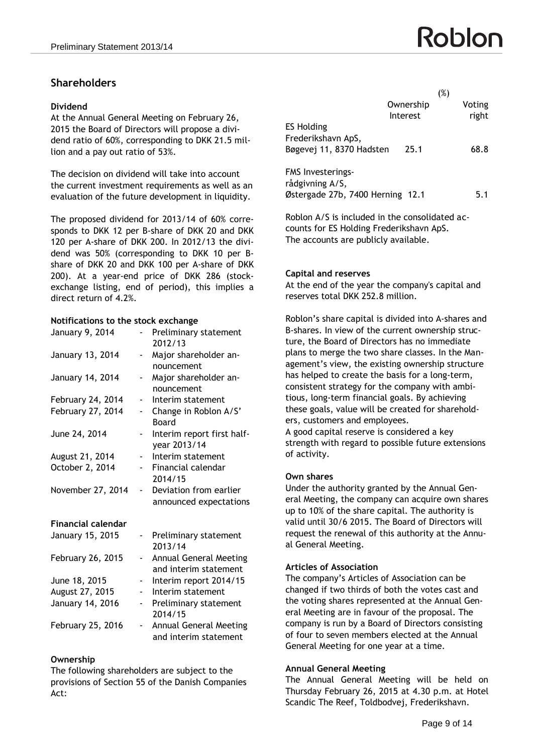# **Shareholders**

#### **Dividend**

At the Annual General Meeting on February 26, 2015 the Board of Directors will propose a dividend ratio of 60%, corresponding to DKK 21.5 million and a pay out ratio of 53%.

The decision on dividend will take into account the current investment requirements as well as an evaluation of the future development in liquidity.

The proposed dividend for 2013/14 of 60% corresponds to DKK 12 per B-share of DKK 20 and DKK 120 per A-share of DKK 200. In 2012/13 the dividend was 50% (corresponding to DKK 10 per Bshare of DKK 20 and DKK 100 per A-share of DKK 200). At a year-end price of DKK 286 (stockexchange listing, end of period), this implies a direct return of 4.2%.

# **Notifications to the stock exchange**

| January 9, 2014           |                          | Preliminary statement         |
|---------------------------|--------------------------|-------------------------------|
|                           |                          | 2012/13                       |
| January 13, 2014          | -                        | Major shareholder an-         |
|                           |                          | nouncement                    |
| January 14, 2014          | ÷                        | Major shareholder an-         |
|                           |                          | nouncement                    |
| February 24, 2014         | -                        | Interim statement             |
| February 27, 2014         |                          | Change in Roblon A/S'         |
|                           |                          | Board                         |
| June 24, 2014             |                          | Interim report first half-    |
|                           |                          | year 2013/14                  |
| August 21, 2014           |                          | Interim statement             |
| October 2, 2014           |                          | Financial calendar            |
|                           |                          | 2014/15                       |
| November 27, 2014         | -                        | Deviation from earlier        |
|                           |                          | announced expectations        |
|                           |                          |                               |
| <b>Financial calendar</b> |                          |                               |
| January 15, 2015          | ۰,                       | Preliminary statement         |
|                           |                          | 2013/14                       |
| February 26, 2015         | -                        | Annual General Meeting        |
|                           |                          | and interim statement         |
| June 18, 2015             | ۰.                       | Interim report 2014/15        |
| August 27, 2015           |                          | Interim statement             |
| January 14, 2016          | $\overline{\phantom{0}}$ | Preliminary statement         |
|                           |                          | 2014/15                       |
| February 25, 2016         | -                        | <b>Annual General Meeting</b> |
|                           |                          | and interim statement         |

#### **Ownership**

The following shareholders are subject to the provisions of Section 55 of the Danish Companies Act:

|                                  |           | (%)    |
|----------------------------------|-----------|--------|
|                                  | Ownership | Voting |
|                                  | Interest  | right  |
| <b>ES Holding</b>                |           |        |
| Frederikshavn ApS,               |           |        |
| Bøgevej 11, 8370 Hadsten         | 25.1      | 68.8   |
|                                  |           |        |
| <b>FMS Investerings-</b>         |           |        |
| rådgivning A/S,                  |           |        |
| Østergade 27b, 7400 Herning 12.1 |           | 5.1    |
|                                  |           |        |

Roblon A/S is included in the consolidated accounts for ES Holding Frederikshavn ApS. The accounts are publicly available.

#### **Capital and reserves**

At the end of the year the company's capital and reserves total DKK 252.8 million.

Roblon's share capital is divided into A-shares and B-shares. In view of the current ownership structure, the Board of Directors has no immediate plans to merge the two share classes. In the Management's view, the existing ownership structure has helped to create the basis for a long-term, consistent strategy for the company with ambitious, long-term financial goals. By achieving these goals, value will be created for shareholders, customers and employees. A good capital reserve is considered a key strength with regard to possible future extensions of activity.

#### **Own shares**

Under the authority granted by the Annual General Meeting, the company can acquire own shares up to 10% of the share capital. The authority is valid until 30/6 2015. The Board of Directors will request the renewal of this authority at the Annual General Meeting.

#### **Articles of Association**

The company's Articles of Association can be changed if two thirds of both the votes cast and the voting shares represented at the Annual General Meeting are in favour of the proposal. The company is run by a Board of Directors consisting of four to seven members elected at the Annual General Meeting for one year at a time.

#### **Annual General Meeting**

The Annual General Meeting will be held on Thursday February 26, 2015 at 4.30 p.m. at Hotel Scandic The Reef, Toldbodvej, Frederikshavn.

# Roblon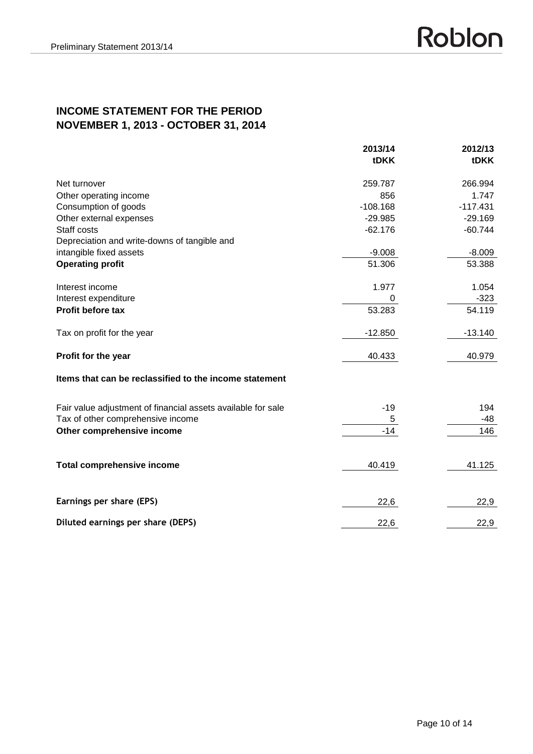# **INCOME STATEMENT FOR THE PERIOD NOVEMBER 1, 2013 - OCTOBER 31, 2014**

|                                                              | 2013/14<br>tDKK | 2012/13<br><b>tDKK</b> |
|--------------------------------------------------------------|-----------------|------------------------|
|                                                              |                 |                        |
| Net turnover                                                 | 259.787         | 266.994                |
| Other operating income                                       | 856             | 1.747                  |
| Consumption of goods                                         | $-108.168$      | $-117.431$             |
| Other external expenses                                      | $-29.985$       | $-29.169$              |
| Staff costs                                                  | $-62.176$       | $-60.744$              |
| Depreciation and write-downs of tangible and                 |                 |                        |
| intangible fixed assets                                      | $-9.008$        | $-8.009$               |
| <b>Operating profit</b>                                      | 51.306          | 53.388                 |
| Interest income                                              | 1.977           | 1.054                  |
| Interest expenditure                                         | 0               | $-323$                 |
| <b>Profit before tax</b>                                     | 53.283          | 54.119                 |
| Tax on profit for the year                                   | $-12.850$       | $-13.140$              |
| Profit for the year                                          | 40.433          | 40.979                 |
| Items that can be reclassified to the income statement       |                 |                        |
| Fair value adjustment of financial assets available for sale | $-19$           | 194                    |
| Tax of other comprehensive income                            | 5               | $-48$                  |
| Other comprehensive income                                   | $-14$           | 146                    |
| <b>Total comprehensive income</b>                            | 40.419          | 41.125                 |
| Earnings per share (EPS)                                     | 22,6            | 22,9                   |
|                                                              |                 |                        |
| Diluted earnings per share (DEPS)                            | 22,6            | 22,9                   |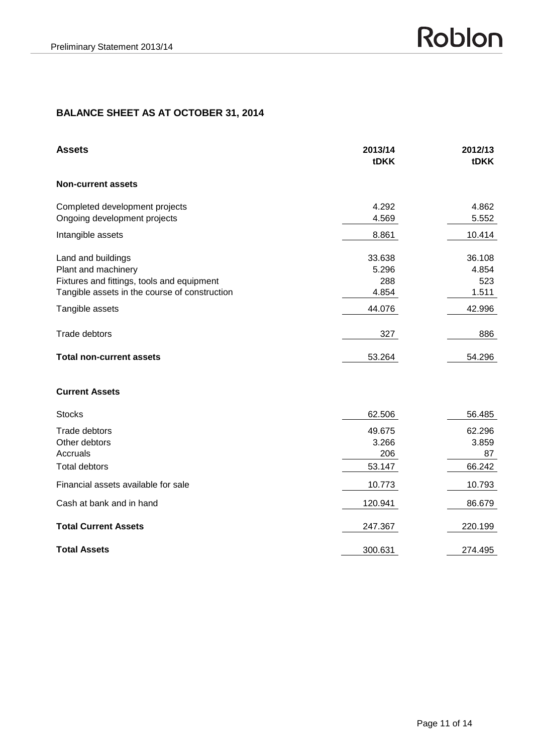| <b>Assets</b>                                                                                                                            | 2013/14<br>tDKK                 | 2012/13<br><b>tDKK</b>          |
|------------------------------------------------------------------------------------------------------------------------------------------|---------------------------------|---------------------------------|
| <b>Non-current assets</b>                                                                                                                |                                 |                                 |
| Completed development projects<br>Ongoing development projects                                                                           | 4.292<br>4.569                  | 4.862<br>5.552                  |
| Intangible assets                                                                                                                        | 8.861                           | 10.414                          |
| Land and buildings<br>Plant and machinery<br>Fixtures and fittings, tools and equipment<br>Tangible assets in the course of construction | 33.638<br>5.296<br>288<br>4.854 | 36.108<br>4.854<br>523<br>1.511 |
| Tangible assets                                                                                                                          | 44.076                          | 42.996                          |
| Trade debtors                                                                                                                            | 327                             | 886                             |
| <b>Total non-current assets</b>                                                                                                          | 53.264                          | 54.296                          |
|                                                                                                                                          |                                 |                                 |

#### **Current Assets**

| <b>Stocks</b>                       | 62.506  | 56.485  |
|-------------------------------------|---------|---------|
| Trade debtors                       | 49.675  | 62.296  |
| Other debtors                       | 3.266   | 3.859   |
| Accruals                            | 206     | 87      |
| <b>Total debtors</b>                | 53.147  | 66.242  |
| Financial assets available for sale | 10.773  | 10.793  |
| Cash at bank and in hand            | 120.941 | 86.679  |
| <b>Total Current Assets</b>         | 247.367 | 220.199 |
| <b>Total Assets</b>                 | 300.631 | 274.495 |

Roblon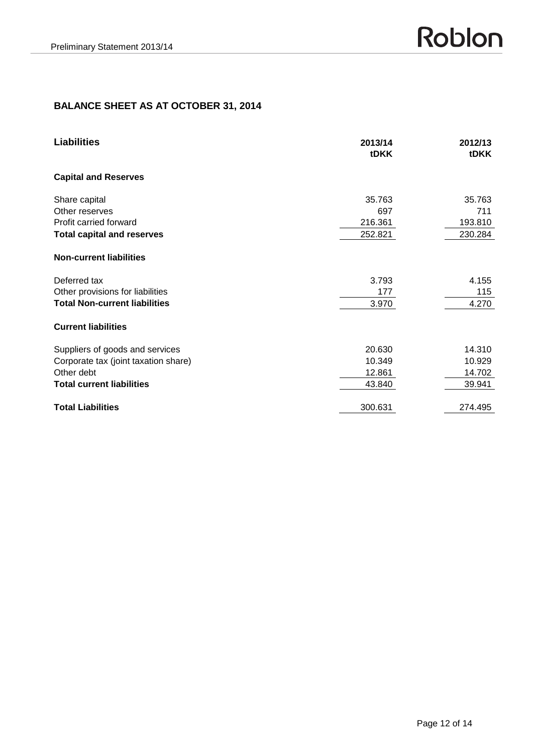# **BALANCE SHEET AS AT OCTOBER 31, 2014**

| <b>Liabilities</b>                   | 2013/14<br>tDKK | 2012/13<br><b>tDKK</b> |
|--------------------------------------|-----------------|------------------------|
| <b>Capital and Reserves</b>          |                 |                        |
| Share capital                        | 35.763          | 35.763                 |
| Other reserves                       | 697             | 711                    |
| Profit carried forward               | 216.361         | 193.810                |
| <b>Total capital and reserves</b>    | 252.821         | 230.284                |
| <b>Non-current liabilities</b>       |                 |                        |
| Deferred tax                         | 3.793           | 4.155                  |
| Other provisions for liabilities     | 177             | 115                    |
| <b>Total Non-current liabilities</b> | 3.970           | 4.270                  |
| <b>Current liabilities</b>           |                 |                        |
| Suppliers of goods and services      | 20.630          | 14.310                 |
| Corporate tax (joint taxation share) | 10.349          | 10.929                 |
| Other debt                           | 12.861          | 14.702                 |
| <b>Total current liabilities</b>     | 43.840          | 39.941                 |
| <b>Total Liabilities</b>             | 300.631         | 274.495                |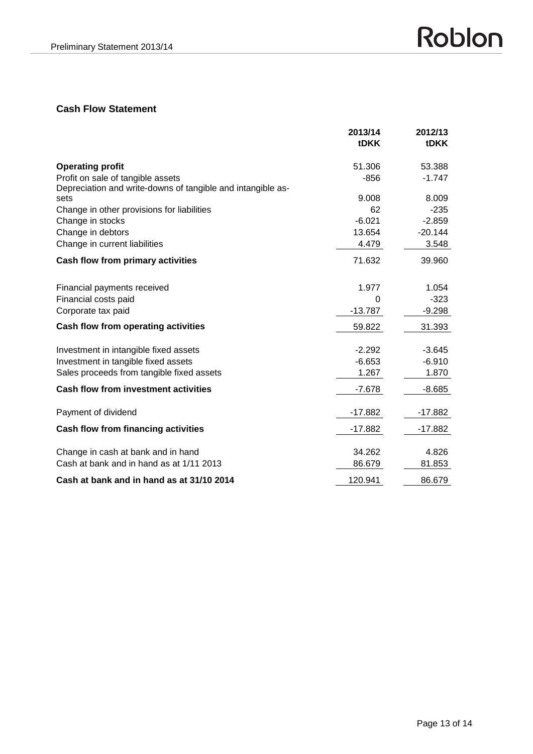# **Cash Flow Statement**

|                                                             | 2013/14     | 2012/13     |
|-------------------------------------------------------------|-------------|-------------|
|                                                             | <b>tDKK</b> | <b>tDKK</b> |
| <b>Operating profit</b>                                     | 51.306      | 53.388      |
| Profit on sale of tangible assets                           | $-856$      | $-1.747$    |
| Depreciation and write-downs of tangible and intangible as- |             |             |
| sets                                                        | 9.008       | 8.009       |
| Change in other provisions for liabilities                  | 62          | $-235$      |
| Change in stocks                                            | $-6.021$    | $-2.859$    |
| Change in debtors                                           | 13.654      | $-20.144$   |
| Change in current liabilities                               | 4.479       | 3.548       |
| Cash flow from primary activities                           | 71.632      | 39.960      |
|                                                             |             |             |
| Financial payments received                                 | 1.977       | 1.054       |
| Financial costs paid                                        | 0           | $-323$      |
| Corporate tax paid                                          | $-13.787$   | $-9.298$    |
| Cash flow from operating activities                         | 59.822      | 31.393      |
| Investment in intangible fixed assets                       | $-2.292$    | $-3.645$    |
| Investment in tangible fixed assets                         | $-6.653$    | $-6.910$    |
| Sales proceeds from tangible fixed assets                   | 1.267       | 1.870       |
| <b>Cash flow from investment activities</b>                 | $-7.678$    | $-8.685$    |
|                                                             |             |             |
| Payment of dividend                                         | $-17.882$   | $-17.882$   |
| <b>Cash flow from financing activities</b>                  | -17.882     | -17.882     |
| Change in cash at bank and in hand                          | 34.262      | 4.826       |
| Cash at bank and in hand as at 1/11 2013                    | 86.679      | 81.853      |
| Cash at bank and in hand as at 31/10 2014                   | 120.941     | 86.679      |